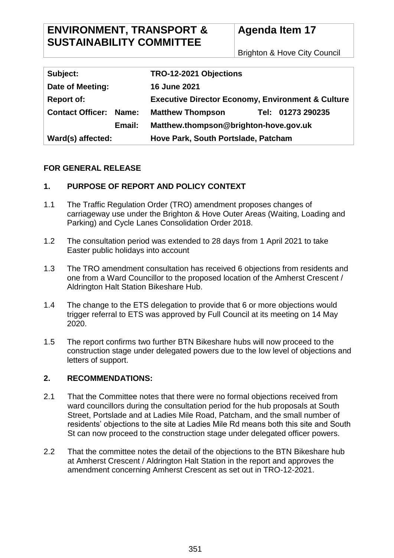Brighton & Hove City Council

| Subject:                      | TRO-12-2021 Objections                                       |
|-------------------------------|--------------------------------------------------------------|
| Date of Meeting:              | <b>16 June 2021</b>                                          |
| <b>Report of:</b>             | <b>Executive Director Economy, Environment &amp; Culture</b> |
| <b>Contact Officer: Name:</b> | Tel: 01273 290235<br><b>Matthew Thompson</b>                 |
| Email:                        | Matthew.thompson@brighton-hove.gov.uk                        |
| Ward(s) affected:             | Hove Park, South Portslade, Patcham                          |

#### **FOR GENERAL RELEASE**

## **1. PURPOSE OF REPORT AND POLICY CONTEXT**

- 1.1 The Traffic Regulation Order (TRO) amendment proposes changes of carriageway use under the Brighton & Hove Outer Areas (Waiting, Loading and Parking) and Cycle Lanes Consolidation Order 2018.
- 1.2 The consultation period was extended to 28 days from 1 April 2021 to take Easter public holidays into account
- 1.3 The TRO amendment consultation has received 6 objections from residents and one from a Ward Councillor to the proposed location of the Amherst Crescent / Aldrington Halt Station Bikeshare Hub.
- 1.4 The change to the ETS delegation to provide that 6 or more objections would trigger referral to ETS was approved by Full Council at its meeting on 14 May 2020.
- 1.5 The report confirms two further BTN Bikeshare hubs will now proceed to the construction stage under delegated powers due to the low level of objections and letters of support.

## **2. RECOMMENDATIONS:**

- 2.1 That the Committee notes that there were no formal objections received from ward councillors during the consultation period for the hub proposals at South Street, Portslade and at Ladies Mile Road, Patcham, and the small number of residents' objections to the site at Ladies Mile Rd means both this site and South St can now proceed to the construction stage under delegated officer powers.
- 2.2 That the committee notes the detail of the objections to the BTN Bikeshare hub at Amherst Crescent / Aldrington Halt Station in the report and approves the amendment concerning Amherst Crescent as set out in TRO-12-2021.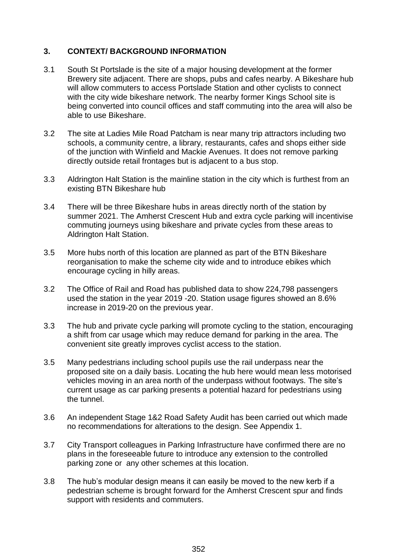## **3. CONTEXT/ BACKGROUND INFORMATION**

- 3.1 South St Portslade is the site of a major housing development at the former Brewery site adjacent. There are shops, pubs and cafes nearby. A Bikeshare hub will allow commuters to access Portslade Station and other cyclists to connect with the city wide bikeshare network. The nearby former Kings School site is being converted into council offices and staff commuting into the area will also be able to use Bikeshare.
- 3.2 The site at Ladies Mile Road Patcham is near many trip attractors including two schools, a community centre, a library, restaurants, cafes and shops either side of the junction with Winfield and Mackie Avenues. It does not remove parking directly outside retail frontages but is adjacent to a bus stop.
- 3.3 Aldrington Halt Station is the mainline station in the city which is furthest from an existing BTN Bikeshare hub
- 3.4 There will be three Bikeshare hubs in areas directly north of the station by summer 2021. The Amherst Crescent Hub and extra cycle parking will incentivise commuting journeys using bikeshare and private cycles from these areas to Aldrington Halt Station.
- 3.5 More hubs north of this location are planned as part of the BTN Bikeshare reorganisation to make the scheme city wide and to introduce ebikes which encourage cycling in hilly areas.
- 3.2 The Office of Rail and Road has published data to show 224,798 passengers used the station in the year 2019 -20. Station usage figures showed an 8.6% increase in 2019-20 on the previous year.
- 3.3 The hub and private cycle parking will promote cycling to the station, encouraging a shift from car usage which may reduce demand for parking in the area. The convenient site greatly improves cyclist access to the station.
- 3.5 Many pedestrians including school pupils use the rail underpass near the proposed site on a daily basis. Locating the hub here would mean less motorised vehicles moving in an area north of the underpass without footways. The site's current usage as car parking presents a potential hazard for pedestrians using the tunnel.
- 3.6 An independent Stage 1&2 Road Safety Audit has been carried out which made no recommendations for alterations to the design. See Appendix 1.
- 3.7 City Transport colleagues in Parking Infrastructure have confirmed there are no plans in the foreseeable future to introduce any extension to the controlled parking zone or any other schemes at this location.
- 3.8 The hub's modular design means it can easily be moved to the new kerb if a pedestrian scheme is brought forward for the Amherst Crescent spur and finds support with residents and commuters.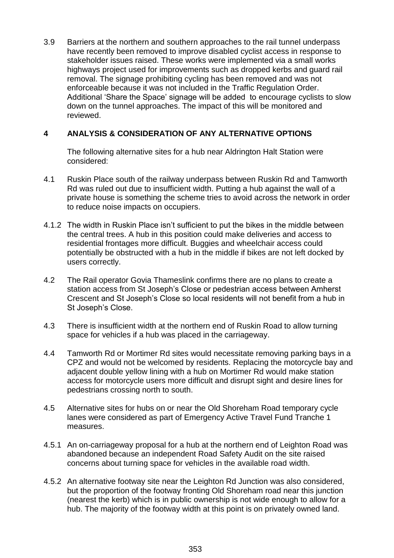3.9 Barriers at the northern and southern approaches to the rail tunnel underpass have recently been removed to improve disabled cyclist access in response to stakeholder issues raised. These works were implemented via a small works highways project used for improvements such as dropped kerbs and guard rail removal. The signage prohibiting cycling has been removed and was not enforceable because it was not included in the Traffic Regulation Order. Additional 'Share the Space' signage will be added to encourage cyclists to slow down on the tunnel approaches. The impact of this will be monitored and reviewed.

# **4 ANALYSIS & CONSIDERATION OF ANY ALTERNATIVE OPTIONS**

The following alternative sites for a hub near Aldrington Halt Station were considered:

- 4.1 Ruskin Place south of the railway underpass between Ruskin Rd and Tamworth Rd was ruled out due to insufficient width. Putting a hub against the wall of a private house is something the scheme tries to avoid across the network in order to reduce noise impacts on occupiers.
- 4.1.2 The width in Ruskin Place isn't sufficient to put the bikes in the middle between the central trees. A hub in this position could make deliveries and access to residential frontages more difficult. Buggies and wheelchair access could potentially be obstructed with a hub in the middle if bikes are not left docked by users correctly.
- 4.2 The Rail operator Govia Thameslink confirms there are no plans to create a station access from St Joseph's Close or pedestrian access between Amherst Crescent and St Joseph's Close so local residents will not benefit from a hub in St Joseph's Close.
- 4.3 There is insufficient width at the northern end of Ruskin Road to allow turning space for vehicles if a hub was placed in the carriageway.
- 4.4 Tamworth Rd or Mortimer Rd sites would necessitate removing parking bays in a CPZ and would not be welcomed by residents. Replacing the motorcycle bay and adjacent double yellow lining with a hub on Mortimer Rd would make station access for motorcycle users more difficult and disrupt sight and desire lines for pedestrians crossing north to south.
- 4.5 Alternative sites for hubs on or near the Old Shoreham Road temporary cycle lanes were considered as part of Emergency Active Travel Fund Tranche 1 measures.
- 4.5.1 An on-carriageway proposal for a hub at the northern end of Leighton Road was abandoned because an independent Road Safety Audit on the site raised concerns about turning space for vehicles in the available road width.
- 4.5.2 An alternative footway site near the Leighton Rd Junction was also considered, but the proportion of the footway fronting Old Shoreham road near this junction (nearest the kerb) which is in public ownership is not wide enough to allow for a hub. The majority of the footway width at this point is on privately owned land.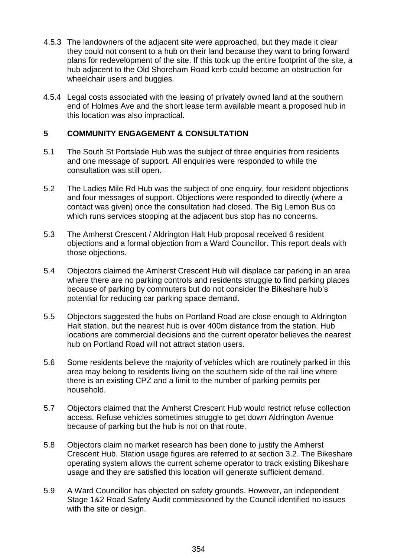- 4.5.3 The landowners of the adjacent site were approached, but they made it clear they could not consent to a hub on their land because they want to bring forward plans for redevelopment of the site. If this took up the entire footprint of the site, a hub adjacent to the Old Shoreham Road kerb could become an obstruction for wheelchair users and buggies.
- 4.5.4 Legal costs associated with the leasing of privately owned land at the southern end of Holmes Ave and the short lease term available meant a proposed hub in this location was also impractical.

#### **5 COMMUNITY ENGAGEMENT & CONSULTATION**

- 5.1 The South St Portslade Hub was the subject of three enquiries from residents and one message of support. All enquiries were responded to while the consultation was still open.
- 5.2 The Ladies Mile Rd Hub was the subject of one enquiry, four resident objections and four messages of support. Objections were responded to directly (where a contact was given) once the consultation had closed. The Big Lemon Bus co which runs services stopping at the adjacent bus stop has no concerns.
- 5.3 The Amherst Crescent / Aldrington Halt Hub proposal received 6 resident objections and a formal objection from a Ward Councillor. This report deals with those objections.
- 5.4 Objectors claimed the Amherst Crescent Hub will displace car parking in an area where there are no parking controls and residents struggle to find parking places because of parking by commuters but do not consider the Bikeshare hub's potential for reducing car parking space demand.
- 5.5 Objectors suggested the hubs on Portland Road are close enough to Aldrington Halt station, but the nearest hub is over 400m distance from the station. Hub locations are commercial decisions and the current operator believes the nearest hub on Portland Road will not attract station users.
- 5.6 Some residents believe the majority of vehicles which are routinely parked in this area may belong to residents living on the southern side of the rail line where there is an existing CPZ and a limit to the number of parking permits per household.
- 5.7 Objectors claimed that the Amherst Crescent Hub would restrict refuse collection access. Refuse vehicles sometimes struggle to get down Aldrington Avenue because of parking but the hub is not on that route.
- 5.8 Objectors claim no market research has been done to justify the Amherst Crescent Hub. Station usage figures are referred to at section 3.2. The Bikeshare operating system allows the current scheme operator to track existing Bikeshare usage and they are satisfied this location will generate sufficient demand.
- 5.9 A Ward Councillor has objected on safety grounds. However, an independent Stage 1&2 Road Safety Audit commissioned by the Council identified no issues with the site or design.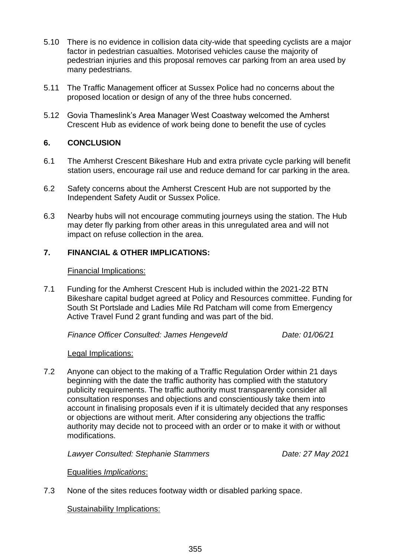- 5.10 There is no evidence in collision data city-wide that speeding cyclists are a major factor in pedestrian casualties. Motorised vehicles cause the majority of pedestrian injuries and this proposal removes car parking from an area used by many pedestrians.
- 5.11 The Traffic Management officer at Sussex Police had no concerns about the proposed location or design of any of the three hubs concerned.
- 5.12 Govia Thameslink's Area Manager West Coastway welcomed the Amherst Crescent Hub as evidence of work being done to benefit the use of cycles

## **6. CONCLUSION**

- 6.1 The Amherst Crescent Bikeshare Hub and extra private cycle parking will benefit station users, encourage rail use and reduce demand for car parking in the area.
- 6.2 Safety concerns about the Amherst Crescent Hub are not supported by the Independent Safety Audit or Sussex Police.
- 6.3 Nearby hubs will not encourage commuting journeys using the station. The Hub may deter fly parking from other areas in this unregulated area and will not impact on refuse collection in the area.

## **7. FINANCIAL & OTHER IMPLICATIONS:**

#### Financial Implications:

7.1 Funding for the Amherst Crescent Hub is included within the 2021-22 BTN Bikeshare capital budget agreed at Policy and Resources committee. Funding for South St Portslade and Ladies Mile Rd Patcham will come from Emergency Active Travel Fund 2 grant funding and was part of the bid.

*Finance Officer Consulted: James Hengeveld Date: 01/06/21*

Legal Implications:

7.2 Anyone can object to the making of a Traffic Regulation Order within 21 days beginning with the date the traffic authority has complied with the statutory publicity requirements. The traffic authority must transparently consider all consultation responses and objections and conscientiously take them into account in finalising proposals even if it is ultimately decided that any responses or objections are without merit. After considering any objections the traffic authority may decide not to proceed with an order or to make it with or without modifications.

*Lawyer Consulted: Stephanie Stammers Date: 27 May 2021*

## Equalities *Implications*:

7.3 None of the sites reduces footway width or disabled parking space.

Sustainability Implications: